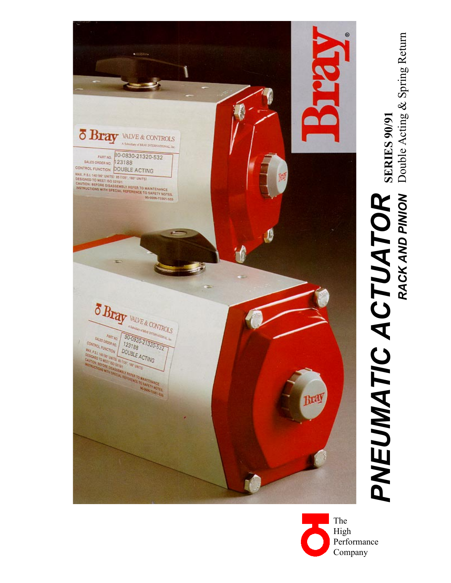

Double Acting & Spring Return Double Acting & Spring Return **SERIES 90/91 SERIES 90/91** *PNEUMATIC ACTUATOR*  **PNEUMATIC ACTUATOR** *RACK AND PINION* 

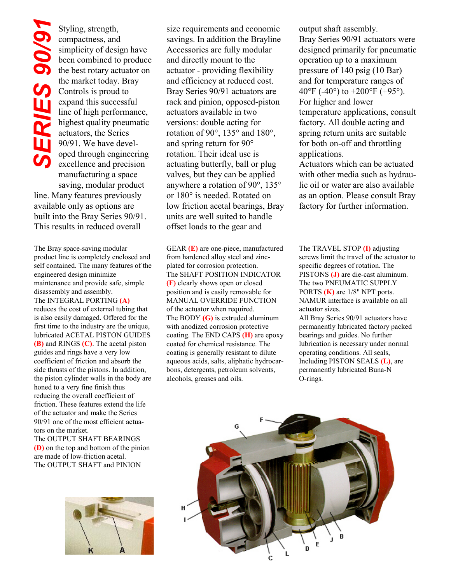Styling, strength, compactness, and simplicity of design have been combined to produce the best rotary actuator on the market today. Bray Controls is proud to expand this successful line of high performance, highest quality pneumatic actuators, the Series 90/91. We have developed through engineering excellence and precision manufacturing a space saving, modular product Styling, strength,<br>
compactness, and<br>
simplicity of design hav<br>
been combined to produ<br>
the best rotary actuator of<br>
the market today. Bray<br>
Controls is proud to<br>
expand this successful<br>
line of high performance<br>
highest q

line. Many features previously available only as options are built into the Bray Series 90/91.

The Bray space-saving modular product line is completely enclosed and self contained. The many features of the engineered design minimize maintenance and provide safe, simple disassembly and assembly. The INTEGRAL PORTING **(A)** reduces the cost of external tubing that is also easily damaged. Offered for the first time to the industry are the unique, lubricated ACETAL PISTON GUIDES **(B)** and RINGS **(C)**. The acetal piston guides and rings have a very low coefficient of friction and absorb the side thrusts of the pistons. In addition, the piston cylinder walls in the body are honed to a very fine finish thus reducing the overall coefficient of friction. These features extend the life of the actuator and make the Series 90/91 one of the most efficient actuators on the market.

The OUTPUT SHAFT BEARINGS **(D)** on the top and bottom of the pinion are made of low-friction acetal. The OUTPUT SHAFT and PINION



size requirements and economic savings. In addition the Brayline Accessories are fully modular and directly mount to the actuator - providing flexibility and efficiency at reduced cost. Bray Series 90/91 actuators are rack and pinion, opposed-piston actuators available in two versions: double acting for rotation of 90°, 135° and 180°, and spring return for 90° rotation. Their ideal use is actuating butterfly, ball or plug valves, but they can be applied anywhere a rotation of 90°, 135° or 180° is needed. Rotated on low friction acetal bearings, Bray units are well suited to handle offset loads to the gear and

GEAR **(E)** are one-piece, manufactured from hardened alloy steel and zincplated for corrosion protection. The SHAFT POSITION INDICATOR **(F)** clearly shows open or closed position and is easily removable for MANUAL OVERRIDE FUNCTION of the actuator when required. The BODY **(G)** is extruded aluminum with anodized corrosion protective coating. The END CAPS **(H)** are epoxy coated for chemical resistance. The coating is generally resistant to dilute aqueous acids, salts, aliphatic hydrocarbons, detergents, petroleum solvents, alcohols, greases and oils.

output shaft assembly. Bray Series 90/91 actuators were designed primarily for pneumatic operation up to a maximum pressure of 140 psig (10 Bar) and for temperature ranges of 40°F (-40°) to +200°F (+95°). For higher and lower temperature applications, consult factory. All double acting and spring return units are suitable for both on-off and throttling applications.

Actuators which can be actuated with other media such as hydraulic oil or water are also available as an option. Please consult Bray factory for further information.

The TRAVEL STOP **(I)** adjusting screws limit the travel of the actuator to specific degrees of rotation. The PISTONS **(J)** are die-cast aluminum. The two PNEUMATIC SUPPLY PORTS **(K)** are 1/8" NPT ports. NAMUR interface is available on all actuator sizes. All Bray Series 90/91 actuators have permanently lubricated factory packed bearings and guides. No further lubrication is necessary under normal operating conditions. All seals, Including PISTON SEALS **(L)**, are permanently lubricated Buna-N



O-rings.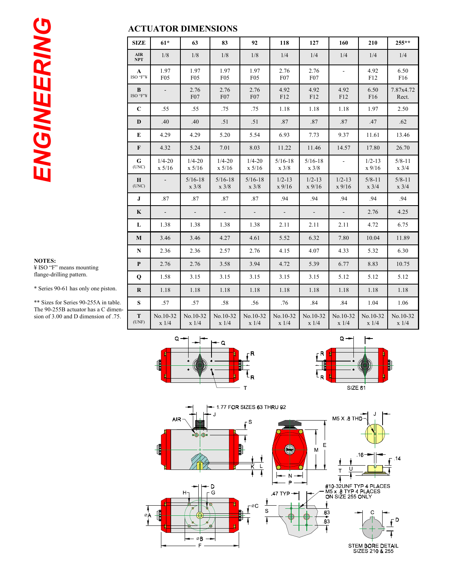*ENGINEERING* ENGINEERING

### **ACTUATOR DIMENSIONS**

| <b>SIZE</b>              | $61*$                   | 63                             | 83                             | 92                             | 118                            | 127                            | 160                    | 210                           | $255**$                       |
|--------------------------|-------------------------|--------------------------------|--------------------------------|--------------------------------|--------------------------------|--------------------------------|------------------------|-------------------------------|-------------------------------|
| <b>AIR</b><br><b>NPT</b> | 1/8                     | 1/8                            | 1/8                            | 1/8                            | 1/4                            | 1/4                            | 1/4                    | 1/4                           | 1/4                           |
| $\mathbf{A}$<br>ISO "F"¥ | 1.97<br>F <sub>05</sub> | 1.97<br>F05                    | 1.97<br>F <sub>05</sub>        | 1.97<br>F05                    | 2.76<br>F07                    | 2.76<br>F07                    | $\blacksquare$         | 4.92<br>F12                   | 6.50<br>F16                   |
| B<br>ISO "F"¥            | $\blacksquare$          | 2.76<br>F07                    | 2.76<br>F07                    | 2.76<br>F07                    | 4.92<br>F12                    | 4.92<br>F12                    | 4.92<br>F12            | 6.50<br>F16                   | 7.87x4.72<br>Rect.            |
| $\mathbf C$              | .55                     | .55                            | .75                            | .75                            | 1.18                           | 1.18                           | 1.18                   | 1.97                          | 2.50                          |
| D                        | .40                     | .40                            | .51                            | .51                            | .87                            | .87                            | .87                    | .47                           | .62                           |
| E                        | 4.29                    | 4.29                           | 5.20                           | 5.54                           | 6.93                           | 7.73                           | 9.37                   | 11.61                         | 13.46                         |
| $\mathbf{F}$             | 4.32                    | 5.24                           | 7.01                           | 8.03                           | 11.22                          | 11.46                          | 14.57                  | 17.80                         | 26.70                         |
| G<br>(UNC)               | $1/4 - 20$<br>x 5/16    | $1/4 - 20$<br>x 5/16           | $1/4 - 20$<br>x 5/16           | $1/4 - 20$<br>x 5/16           | $5/16 - 18$<br>$x \frac{3}{8}$ | $5/16 - 18$<br>$x \frac{3}{8}$ | $\sim$                 | $1/2 - 13$<br>$x$ 9/16        | $5/8 - 11$<br>$x \frac{3}{4}$ |
| H<br>(UNC)               |                         | $5/16 - 18$<br>$x \frac{3}{8}$ | $5/16 - 18$<br>$x \frac{3}{8}$ | $5/16 - 18$<br>$x \frac{3}{8}$ | $1/2 - 13$<br>$x$ 9/16         | $1/2 - 13$<br>$x$ 9/16         | $1/2 - 13$<br>$x$ 9/16 | $5/8 - 11$<br>$x \frac{3}{4}$ | $5/8 - 11$<br>$x \frac{3}{4}$ |
| $\bf{J}$                 | .87                     | .87                            | .87                            | .87                            | .94                            | .94                            | .94                    | .94                           | .94                           |
| $\mathbf K$              |                         | $\overline{\phantom{a}}$       | $\mathbb{Z}^2$                 | $\mathbb{L}$                   | $\Box$                         | $\Box$                         | ÷.                     | 2.76                          | 4.25                          |
| L                        | 1.38                    | 1.38                           | 1.38                           | 1.38                           | 2.11                           | 2.11                           | 2.11                   | 4.72                          | 6.75                          |
| $\bf{M}$                 | 3.46                    | 3.46                           | 4.27                           | 4.61                           | 5.52                           | 6.32                           | 7.80                   | 10.04                         | 11.89                         |
| ${\bf N}$                | 2.36                    | 2.36                           | 2.57                           | 2.76                           | 4.15                           | 4.07                           | 4.33                   | 5.32                          | 6.30                          |
| $\mathbf{P}$             | 2.76                    | 2.76                           | 3.58                           | 3.94                           | 4.72                           | 5.39                           | 6.77                   | 8.83                          | 10.75                         |
| $\mathbf Q$              | 1.58                    | 3.15                           | 3.15                           | 3.15                           | 3.15                           | 3.15                           | 5.12                   | 5.12                          | 5.12                          |
| $\bf R$                  | 1.18                    | 1.18                           | 1.18                           | 1.18                           | 1.18                           | 1.18                           | 1.18                   | 1.18                          | 1.18                          |
| S                        | .57                     | .57                            | .58                            | .56                            | .76                            | .84                            | .84                    | 1.04                          | 1.06                          |
| T<br>(UNF)               | No.10-32<br>x 1/4       | No.10-32<br>x 1/4              | No.10-32<br>x 1/4              | No.10-32<br>x 1/4              | No.10-32<br>x 1/4              | No.10-32<br>x 1/4              | No.10-32<br>x 1/4      | No.10-32<br>x 1/4             | No.10-32<br>x 1/4             |

#### **NOTES:**  ¥ ISO "F" means mounting flange-drilling pattern.

\* Series 90-61 has only one piston.

\*\* Sizes for Series 90-255A in table. The 90-255B actuator has a C dimension of 3.00 and D dimension of .75.





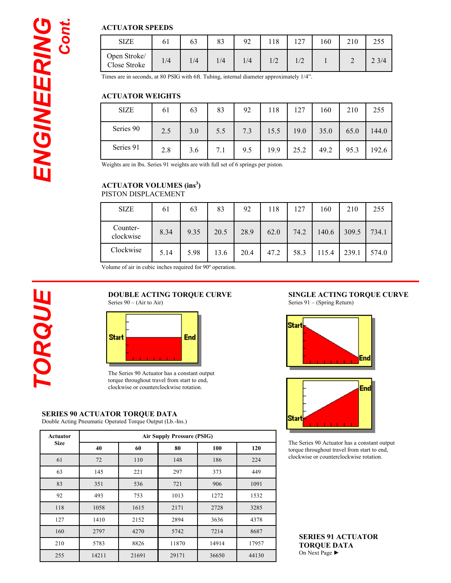#### **ACTUATOR SPEEDS**

| <b>SIZE</b>                  | 61  | 63  | 83  | 92  | 118 | 1 7 7 | .60 | 2 I V | ر رے |
|------------------------------|-----|-----|-----|-----|-----|-------|-----|-------|------|
| Open Stroke/<br>Close Stroke | 1/4 | 1/4 | 1/4 | 1/4 |     | 1/L   |     | ∼     | 23/4 |

Times are in seconds, at 80 PSIG with 6ft. Tubing, internal diameter approximately 1/4".

#### **ACTUATOR WEIGHTS**

| <b>SIZE</b> | 61  | 63  | 83  | 92  | 118  | 127  | 160  | 210  | 255   |
|-------------|-----|-----|-----|-----|------|------|------|------|-------|
| Series 90   | 2.5 | 3.0 | 5.5 | 7.3 | 15.5 | 19.0 | 35.0 | 65.0 | 144.0 |
| Series 91   | 2.8 | 3.6 | 7.1 | 9.5 | 19.9 | 25.2 | 49.2 | 95.3 | 192.6 |

Weights are in lbs. Series 91 weights are with full set of 6 springs per piston.

## **ACTUATOR VOLUMES (ins3 )**

| PISTON DISPLACEMENT |  |
|---------------------|--|
|---------------------|--|

| <b>SIZE</b>           | 61   | 63   | 83   | 92   | 118  | 127  | 160   | 210   | 255   |
|-----------------------|------|------|------|------|------|------|-------|-------|-------|
| Counter-<br>clockwise | 8.34 | 9.35 | 20.5 | 28.9 | 62.0 | 74.2 | 140.6 | 309.5 | 734.1 |
| Clockwise             | 5.14 | 5.98 | 13.6 | 20.4 | 47.2 | 58.3 | 115.4 | 239.1 | 574.0 |

Volume of air in cubic inches required for 90º operation.

#### **DOUBLE ACTING TORQUE CURVE**  Series  $90 - (Air to Air)$



The Series 90 Actuator has a constant output torque throughout travel from start to end, clockwise or counterclockwise rotation.

#### **SERIES 90 ACTUATOR TORQUE DATA**

Double Acting Pneumatic Operated Torque Output (Lb.-Ins.)

| Actuator    | <b>Air Supply Pressure (PSIG)</b> |       |       |       |       |  |  |  |  |
|-------------|-----------------------------------|-------|-------|-------|-------|--|--|--|--|
| <b>Size</b> | 40                                | 60    | 80    | 100   | 120   |  |  |  |  |
| 61          | 72                                | 110   | 148   | 186   | 224   |  |  |  |  |
| 63          | 145                               | 221   | 297   | 373   | 449   |  |  |  |  |
| 83          | 351                               | 536   | 721   | 906   | 1091  |  |  |  |  |
| 92          | 493                               | 753   | 1013  | 1272  | 1532  |  |  |  |  |
| 118         | 1058                              | 1615  | 2171  | 2728  | 3285  |  |  |  |  |
| 127         | 1410                              | 2152  | 2894  | 3636  | 4378  |  |  |  |  |
| 160         | 2797                              | 4270  | 5742  | 7214  | 8687  |  |  |  |  |
| 210         | 5783                              | 8826  | 11870 | 14914 | 17957 |  |  |  |  |
| 255         | 14211                             | 21691 | 29171 | 36650 | 44130 |  |  |  |  |

#### **SINGLE ACTING TORQUE CURVE**  Series 91 – (Spring Return)





The Series 90 Actuator has a constant output torque throughout travel from start to end, clockwise or counterclockwise rotation.

**SERIES 91 ACTUATOR TORQUE DATA**  On Next Page ►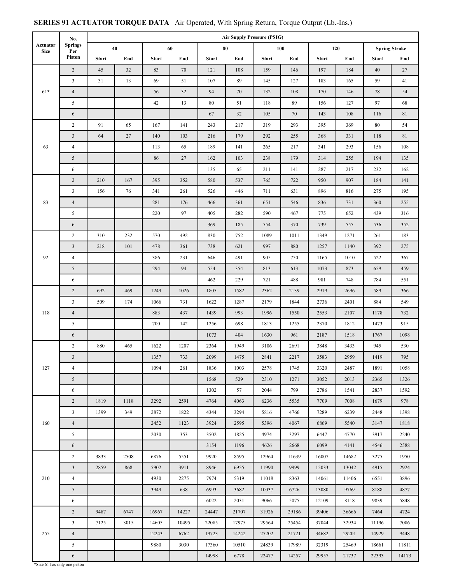#### **Actuator Size No. Springs Per Piston Air Supply Pressure (PSIG) 40 60 80 100 120 Spring Stroke Start End Start End Start End Start End Start End Start End**  61\* 2 45 32 83 70 121 108 159 146 197 184 40 27 3 31 13 69 51 107 89 145 127 183 165 59 41 4 | | | 56 | 32 | 94 | 70 | 132 | 108 | 170 | 146 | 78 | 54 5 42 13 80 51 118 89 156 127 97 68 6 67 32 105 70 143 108 116 81 63 2 91 65 167 141 243 217 319 293 395 369 80 54 3 64 27 140 103 216 179 292 255 368 331 118 81 4 113 65 189 141 265 217 341 293 156 108 5 86 27 162 103 238 179 314 255 194 135 6 1 135 65 211 141 287 217 232 162 83 2 210 167 395 352 580 537 765 722 950 907 184 141 3 156 76 341 261 526 446 711 631 896 816 275 195 4 | | | 281 | 176 | 466 | 361 | 651 | 546 | 836 | 731 | 360 | 255 5 220 97 405 282 590 467 775 652 439 316 6 369 185 554 370 739 555 536 352 92 2 310 232 570 492 830 752 1089 1011 1349 1271 261 183 3 218 101 478 361 738 621 997 880 1257 1140 392 275 4 | | | 386 | 231 | 646 | 491 | 905 | 750 | 1165 | 1010 | 522 | 367 5 294 94 554 354 813 613 1073 873 659 459 6 462 229 721 488 981 748 784 551 118 2 692 469 1249 1026 1805 1582 2362 2139 2919 2696 589 366 3 509 174 1066 731 1622 1287 2179 1844 2736 2401 884 549 4 | | | 883 | 437 | 1439 | 993 | 1996 | 1550 | 2553 | 2107 | 1178 | 732 5 700 142 1256 698 1813 1255 2370 1812 1473 915 6 1073 404 1630 961 2187 1518 1767 1098 127 2 880 465 1622 1207 2364 1949 3106 2691 3848 3433 945 530 3 1357 733 2099 1475 2841 2217 3583 2959 1419 795 4 | | | | 1094 | 261 | 1836 | 1003 | 2578 | 1745 | 3320 | 2487 | 1891 | 1058 5 1568 529 2310 1271 3052 2013 2365 1326 6 1302 57 2044 799 2786 1541 2837 1592 160 2 | 1819 | 1118 | 3292 | 2591 | 4764 | 4063 | 6236 | 5535 | 7709 | 7008 | 1679 | 978 3 1399 349 2872 1822 4344 3294 5816 4766 7289 6239 2448 1398 4 | | | 2452 | 1123 | 3924 | 2595 | 5396 | 4067 | 6869 | 5540 | 3147 | 1818 5 2030 353 3502 1825 4974 3297 6447 4770 3917 2240 6 3154 1196 4626 2668 6099 4141 4546 2588 210 2 3833 2508 6876 5551 9920 8595 12964 11639 16007 14682 3275 1950 3 2859 868 5902 3911 8946 6955 11990 9999 15033 13042 4915 2924 4 | | | | 4930 | 2275 | 7974 | 5319 | 11018 | 8363 | 1406 | 11406 | 6551 | 3896 5 3949 638 6993 3682 10037 6726 13080 9769 8188 4877 6 6022 2031 9066 5075 12109 8118 9839 5848 2 9487 6747 16967 14227 24447 21707 31926 29186 39406 36666 7464 4724 3 7125 3015 14605 10495 22085 17975 29564 25454 37044 32934 11196 7086 4 12243 6762 19723 14242 27202 21721 34682 29201 14929 9448 5 9880 3030 17360 10510 24839 17989 32319 25469 18661 11811 6 14998 6778 22477 14257 29957 21737 22393 14173 255

#### **SERIES 91 ACTUATOR TORQUE DATA** Air Operated, With Spring Return, Torque Output (Lb.-Ins.)

\*Size 61 has only one piston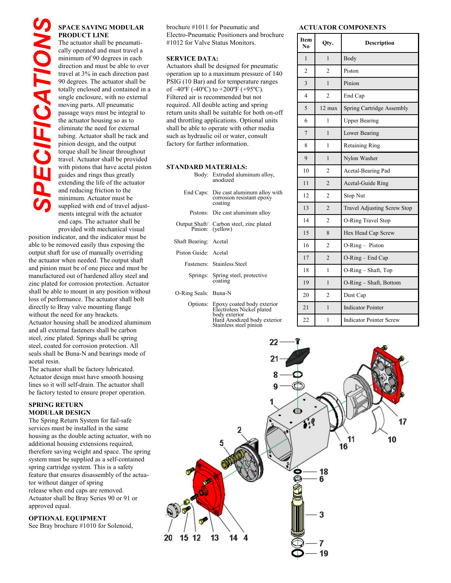# **PRODUCT LINE**

The actuator shall be pneumatically operated and must travel a minimum of 90 degrees in each direction and must be able to over travel at 3% in each direction past 90 degrees. The actuator shall be totally enclosed and contained in a single enclosure, with no external moving parts. All pneumatic passage ways must be integral to the actuator housing so as to eliminate the need for external tubing. Actuator shall be rack and pinion design, and the output torque shall be linear throughout travel. Actuator shall be provided with pistons that have acetal piston guides and rings thus greatly extending the life of the actuator and reducing friction to the minimum. Actuator must be supplied with end of travel adjustments integral with the actuator end caps. The actuator shall be **EXERCISAVING MODULT PRODUCT LINE**<br>The actuator shall be pneum cally operated and must travel and must travel<br>infiminum of 90 degrees in edirection and must be able to you degrees. The actuator shall be not<br>other able to s

provided with mechanical visual position indicator, and the indicator must be able to be removed easily thus exposing the output shaft for use of manually overriding the actuator when needed. The output shaft and pinion must be of one piece and must be manufactured out of hardened alloy steel and zinc plated for corrosion protection. Actuator shall be able to mount in any position without loss of performance. The actuator shall bolt directly to Bray valve mounting flange without the need for any brackets. Actuator housing shall be anodized aluminum and all external fasteners shall be carbon steel, zinc plated. Springs shall be spring steel, coated for corrosion protection. All seals shall be Buna-N and bearings mode of acetal resin.

The actuator shall be factory lubricated. Actuator design must have smooth housing lines so it will self-drain. The actuator shall be factory tested to ensure proper operation.

#### **SPRING RETURN MODULAR DESIGN**

The Spring Return System for fail-safe services must be installed in the same housing as the double acting actuator, with no additional housing extensions required, therefore saving weight and space. The spring system must be supplied as a self-contained spring cartridge system. This is a safety feature that ensures disassembly of the actuator without danger of spring release when end caps are removed. Actuator shall be Bray Series 90 or 91 or approved equal.

**OPTIONAL EQUIPMENT**<br>See Bray brochure #1010 for Solenoid,

**SPACE SAVING MODULAR** brochure #1011 for Pneumatic and **ACTUATOR COMPONENTS** brochure #1011 for Pneumatic and Electro-Pneumatic Positioners and brochure #1012 for Valve Status Monitors.

#### **SERVICE DATA:**

Actuators shall be designed for pneumatic operation up to a maximum pressure of 140 PSIG (10 Bar) and for temperature ranges of  $-40^{\circ}$ F ( $-40^{\circ}$ C) to  $+200^{\circ}$ F ( $+95^{\circ}$ C). Filtered air is recommended but not required. All double acting and spring return units shall be suitable for both on-off and throttling applications. Optional units shall be able to operate with other media such as hydraulic oil or water, consult factory for further information.

#### **STANDARD MATERIALS:**

|  | Body: Extruded aluminum alloy,<br>anodized |
|--|--------------------------------------------|
|--|--------------------------------------------|

|                       | End Caps: Die cast aluminum alloy with<br>corrosion resistant epoxy<br>coating |
|-----------------------|--------------------------------------------------------------------------------|
|                       | Pistons: Die cast aluminum alloy                                               |
|                       | Output Shaft/ Carbon steel, zinc plated<br>Pinion: (yellow)                    |
| Shaft Bearing: Acetal |                                                                                |

- Piston Guide: Acetal
	- Fasteners: Stainless Steel
	- Springs: Spring steel, protective coating
- O-Ring Seals: Buna-N

Options: Epoxy coated body exterior Electroless Nickel plated body exterior Hard Anodized body exterior Stainless steel pinion

| Item<br>N <sub>0</sub> | Qty.           | <b>Description</b>             |
|------------------------|----------------|--------------------------------|
| 1                      | 1              | Body                           |
| $\overline{c}$         | $\mathfrak{D}$ | Piston                         |
| $\overline{3}$         | 1              | Pinion                         |
| 4                      | $\overline{c}$ | End Cap                        |
| 5                      | 12 max         | Spring Cartridge Assembly      |
| 6                      | 1              | <b>Upper Bearing</b>           |
| $\overline{7}$         | 1              | Lower Bearing                  |
| 8                      | 1              | <b>Retaining Ring</b>          |
| 9                      | 1              | Nylon Washer                   |
| 10                     | $\overline{c}$ | Acetal-Bearing Pad             |
| 11                     | $\overline{2}$ | Acetal-Guide Ring              |
| 12                     | $\mathfrak{D}$ | Stop Nut                       |
| 13                     | $\overline{2}$ | Travel Adjusting Screw Stop    |
| 14                     | $\overline{c}$ | O-Ring Travel Stop             |
| 15                     | 8              | Hex Head Cap Screw             |
| 16                     | $\overline{c}$ | O-Ring - Piston                |
| 17                     | $\mathfrak{D}$ | O-Ring - End Cap               |
| 18                     | 1              | $O-Ring - Shaff, Top$          |
| 19                     | 1              | O-Ring - Shaft, Bottom         |
| 20                     | $\overline{2}$ | Dust Cap                       |
| 21                     | 1              | <b>Indicator Pointer</b>       |
| 22                     | 1              | <b>Indicator Pointer Screw</b> |